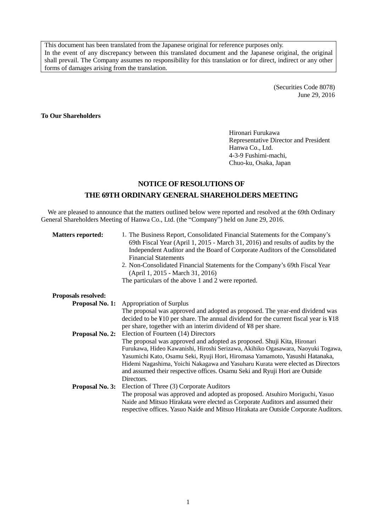This document has been translated from the Japanese original for reference purposes only. In the event of any discrepancy between this translated document and the Japanese original, the original shall prevail. The Company assumes no responsibility for this translation or for direct, indirect or any other forms of damages arising from the translation.

> (Securities Code 8078) June 29, 2016

### **To Our Shareholders**

Hironari Furukawa Representative Director and President Hanwa Co., Ltd. 4-3-9 Fushimi-machi, Chuo-ku, Osaka, Japan

# **NOTICE OF RESOLUTIONS OF THE 69TH ORDINARY GENERALSHAREHOLDERS MEETING**

We are pleased to announce that the matters outlined below were reported and resolved at the 69th Ordinary General Shareholders Meeting of Hanwa Co., Ltd. (the "Company") held on June 29, 2016.

| <b>Matters reported:</b> | 1. The Business Report, Consolidated Financial Statements for the Company's<br>69th Fiscal Year (April 1, 2015 - March 31, 2016) and results of audits by the<br>Independent Auditor and the Board of Corporate Auditors of the Consolidated<br><b>Financial Statements</b><br>2. Non-Consolidated Financial Statements for the Company's 69th Fiscal Year<br>(April 1, 2015 - March 31, 2016)<br>The particulars of the above 1 and 2 were reported. |
|--------------------------|-------------------------------------------------------------------------------------------------------------------------------------------------------------------------------------------------------------------------------------------------------------------------------------------------------------------------------------------------------------------------------------------------------------------------------------------------------|
| Proposals resolved:      |                                                                                                                                                                                                                                                                                                                                                                                                                                                       |
|                          | <b>Proposal No. 1:</b> Appropriation of Surplus                                                                                                                                                                                                                                                                                                                                                                                                       |
|                          | The proposal was approved and adopted as proposed. The year-end dividend was                                                                                                                                                                                                                                                                                                                                                                          |
|                          | decided to be $\text{\textless}10$ per share. The annual dividend for the current fiscal year is $\text{\textless}18$                                                                                                                                                                                                                                                                                                                                 |
|                          | per share, together with an interim dividend of ¥8 per share.                                                                                                                                                                                                                                                                                                                                                                                         |
|                          | <b>Proposal No. 2:</b> Election of Fourteen (14) Directors                                                                                                                                                                                                                                                                                                                                                                                            |
|                          | The proposal was approved and adopted as proposed. Shuji Kita, Hironari                                                                                                                                                                                                                                                                                                                                                                               |
|                          | Furukawa, Hideo Kawanishi, Hiroshi Serizawa, Akihiko Ogasawara, Naoyuki Togawa,                                                                                                                                                                                                                                                                                                                                                                       |
|                          | Yasumichi Kato, Osamu Seki, Ryuji Hori, Hiromasa Yamamoto, Yasushi Hatanaka,                                                                                                                                                                                                                                                                                                                                                                          |
|                          | Hidemi Nagashima, Yoichi Nakagawa and Yasuharu Kurata were elected as Directors                                                                                                                                                                                                                                                                                                                                                                       |
|                          | and assumed their respective offices. Osamu Seki and Ryuji Hori are Outside                                                                                                                                                                                                                                                                                                                                                                           |
|                          | Directors.                                                                                                                                                                                                                                                                                                                                                                                                                                            |
|                          | <b>Proposal No. 3:</b> Election of Three (3) Corporate Auditors                                                                                                                                                                                                                                                                                                                                                                                       |
|                          | The proposal was approved and adopted as proposed. Atsuhiro Moriguchi, Yasuo                                                                                                                                                                                                                                                                                                                                                                          |
|                          | Naide and Mitsuo Hirakata were elected as Corporate Auditors and assumed their                                                                                                                                                                                                                                                                                                                                                                        |
|                          | respective offices. Yasuo Naide and Mitsuo Hirakata are Outside Corporate Auditors.                                                                                                                                                                                                                                                                                                                                                                   |